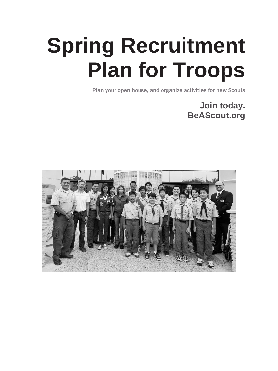# **Spring Recruitment Plan for Troops**

Plan your open house, and organize activities for new Scouts

**Join today. BeAScout.org** 

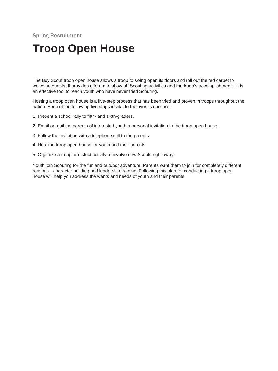### **Troop Open House**

The Boy Scout troop open house allows a troop to swing open its doors and roll out the red carpet to welcome guests. It provides a forum to show off Scouting activities and the troop's accomplishments. It is an effective tool to reach youth who have never tried Scouting.

Hosting a troop open house is a five-step process that has been tried and proven in troops throughout the nation. Each of the following five steps is vital to the event's success:

- 1. Present a school rally to fifth- and sixth-graders.
- 2. Email or mail the parents of interested youth a personal invitation to the troop open house.
- 3. Follow the invitation with a telephone call to the parents.
- 4. Host the troop open house for youth and their parents.
- 5. Organize a troop or district activity to involve new Scouts right away.

Youth join Scouting for the fun and outdoor adventure. Parents want them to join for completely different reasons—character building and leadership training. Following this plan for conducting a troop open house will help you address the wants and needs of youth and their parents.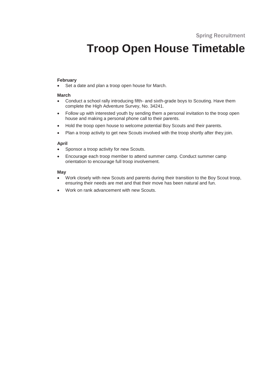### **Troop Open House Timetable**

#### **February**

• Set a date and plan a troop open house for March.

#### **March**

- Conduct a school rally introducing fifth- and sixth-grade boys to Scouting. Have them complete the High Adventure Survey, No. 34241.
- Follow up with interested youth by sending them a personal invitation to the troop open house and making a personal phone call to their parents.
- Hold the troop open house to welcome potential Boy Scouts and their parents.
- Plan a troop activity to get new Scouts involved with the troop shortly after they join.

#### **April**

- Sponsor a troop activity for new Scouts.
- Encourage each troop member to attend summer camp. Conduct summer camp orientation to encourage full troop involvement.

#### **May**

- Work closely with new Scouts and parents during their transition to the Boy Scout troop, ensuring their needs are met and that their move has been natural and fun.
- Work on rank advancement with new Scouts.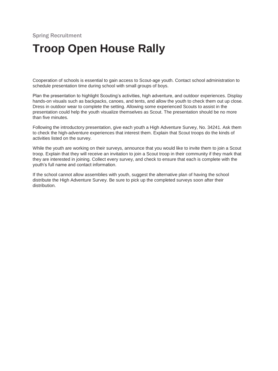### **Troop Open House Rally**

Cooperation of schools is essential to gain access to Scout-age youth. Contact school administration to schedule presentation time during school with small groups of boys.

Plan the presentation to highlight Scouting's activities, high adventure, and outdoor experiences. Display hands-on visuals such as backpacks, canoes, and tents, and allow the youth to check them out up close. Dress in outdoor wear to complete the setting. Allowing some experienced Scouts to assist in the presentation could help the youth visualize themselves as Scout. The presentation should be no more than five minutes.

Following the introductory presentation, give each youth a High Adventure Survey, No. 34241. Ask them to check the high-adventure experiences that interest them. Explain that Scout troops do the kinds of activities listed on the survey.

While the youth are working on their surveys, announce that you would like to invite them to join a Scout troop. Explain that they will receive an invitation to join a Scout troop in their community if they mark that they are interested in joining. Collect every survey, and check to ensure that each is complete with the youth's full name and contact information.

If the school cannot allow assemblies with youth, suggest the alternative plan of having the school distribute the High Adventure Survey. Be sure to pick up the completed surveys soon after their distribution.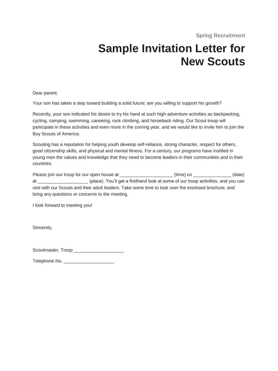### **Sample Invitation Letter for New Scouts**

Dear parent,

Your son has taken a step toward building a solid future; are you willing to support his growth?

Recently, your son indicated his desire to try his hand at such high-adventure activities as backpacking, cycling, camping, swimming, canoeing, rock climbing, and horseback riding. Our Scout troop will participate in these activities and even more in the coming year, and we would like to invite him to join the Boy Scouts of America.

Scouting has a reputation for helping youth develop self-reliance, strong character, respect for others, good citizenship skills, and physical and mental fitness. For a century, our programs have instilled in young men the values and knowledge that they need to become leaders in their communities and in their countries.

Please join our troop for our open house at \_\_\_\_\_\_\_\_\_\_\_\_\_\_\_\_\_\_\_\_\_ (time) on \_\_\_\_\_\_\_\_\_\_\_\_\_\_\_ (date) at \_\_\_\_\_\_\_\_\_\_\_\_\_\_\_\_\_\_\_\_ (place). You'll get a firsthand look at some of our troop activities, and you can visit with our Scouts and their adult leaders. Take some time to look over the enclosed brochure, and bring any questions or concerns to the meeting.

I look forward to meeting you!

Sincerely,

Scoutmaster, Troop \_\_\_\_\_\_\_\_\_\_\_\_\_\_\_\_\_\_\_\_

| Telephone No. |  |
|---------------|--|
|---------------|--|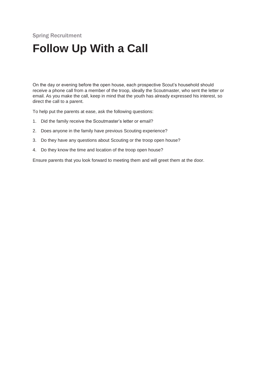### **Follow Up With a Call**

On the day or evening before the open house, each prospective Scout's household should receive a phone call from a member of the troop, ideally the Scoutmaster, who sent the letter or email. As you make the call, keep in mind that the youth has already expressed his interest, so direct the call to a parent.

To help put the parents at ease, ask the following questions:

- 1. Did the family receive the Scoutmaster's letter or email?
- 2. Does anyone in the family have previous Scouting experience?
- 3. Do they have any questions about Scouting or the troop open house?
- 4. Do they know the time and location of the troop open house?

Ensure parents that you look forward to meeting them and will greet them at the door.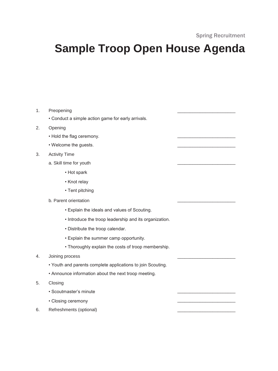### **Sample Troop Open House Agenda**

1. Preopening • Conduct a simple action game for early arrivals. 2. Opening • Hold the flag ceremony. • Welcome the guests. 3. Activity Time a. Skill time for youth • Hot spark • Knot relay • Tent pitching b. Parent orientation • Explain the ideals and values of Scouting. • Introduce the troop leadership and its organization. • Distribute the troop calendar. • Explain the summer camp opportunity. • Thoroughly explain the costs of troop membership. 4. Joining process • Youth and parents complete applications to join Scouting. • Announce information about the next troop meeting. 5. Closing • Scoutmaster's minute \_\_\_\_\_\_\_\_\_\_\_\_\_\_\_\_\_\_\_\_\_\_\_ • Closing ceremony \_\_\_\_\_\_\_\_\_\_\_\_\_\_\_\_\_\_\_\_\_\_\_ 6. Refreshments (optional)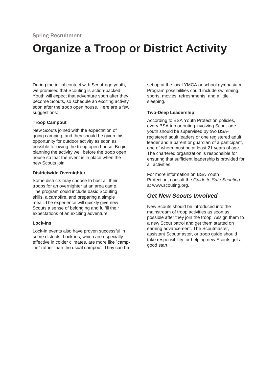## **Organize a Troop or District Activity**

During the initial contact with Scout-age youth, we promised that Scouting is action-packed. Youth will expect that adventure soon after they become Scouts, so schedule an exciting activity soon after the troop open house. Here are a few suggestions:

#### **Troop Campout**

New Scouts joined with the expectation of going camping, and they should be given this opportunity for outdoor activity as soon as possible following the troop open house. Begin planning the activity well before the troop open house so that the event is in place when the new Scouts join.

#### **Districtwide Overnighter**

Some districts may choose to host all their troops for an overnighter at an area camp. The program could include basic Scouting skills, a campfire, and preparing a simple meal. The experience will quickly give new Scouts a sense of belonging and fulfill their expectations of an exciting adventure.

#### **Lock-Ins**

Lock-in events also have proven successful in some districts. Lock-ins, which are especially effective in colder climates, are more like "campins" rather than the usual campout. They can be

set up at the local YMCA or school gymnasium. Program possibilities could include swimming, sports, movies, refreshments, and a little sleeping.

#### **Two-Deep Leadership**

According to BSA Youth Protection policies, every BSA trip or outing involving Scout-age youth should be supervised by two BSAregistered adult leaders or one registered adult leader and a parent or guardian of a participant, one of whom must be at least 21 years of age. The chartered organization is responsible for ensuring that sufficient leadership is provided for all activities.

For more information on BSA Youth Protection, consult the *Guide to Safe Scouting*  at www.scouting.org.

### *Get New Scouts Involved*

New Scouts should be introduced into the mainstream of troop activities as soon as possible after they join the troop. Assign them to a new Scout patrol and get them started on earning advancement. The Scoutmaster, assistant Scoutmaster, or troop guide should take responsibility for helping new Scouts get a good start.